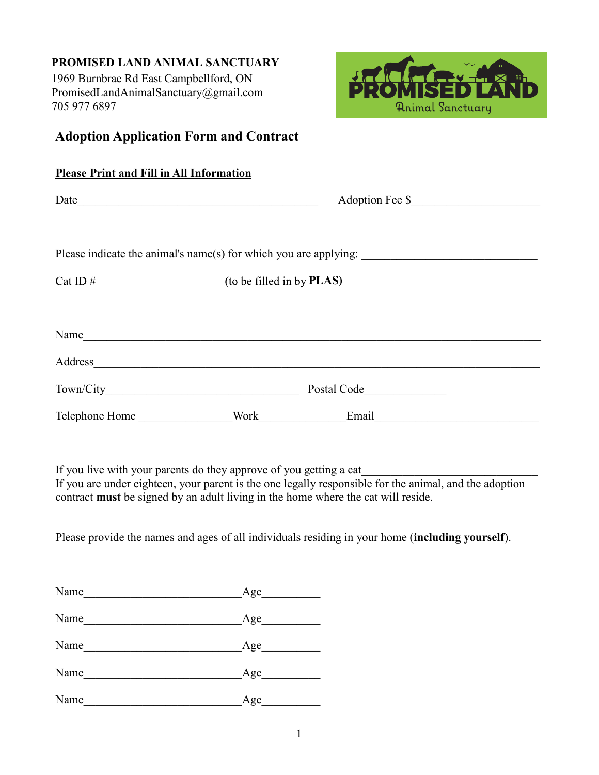# **PROMISED LAND ANIMAL SANCTUARY**

1969 Burnbrae Rd East Campbellford, ON PromisedLandAnimalSanctuary@gmail.com 705 977 6897



# **Adoption Application Form and Contract**

|  | Adoption Fee \$                                                                                                                                                                                                                |  |
|--|--------------------------------------------------------------------------------------------------------------------------------------------------------------------------------------------------------------------------------|--|
|  |                                                                                                                                                                                                                                |  |
|  |                                                                                                                                                                                                                                |  |
|  |                                                                                                                                                                                                                                |  |
|  | Name                                                                                                                                                                                                                           |  |
|  | Address and the contract of the contract of the contract of the contract of the contract of the contract of the contract of the contract of the contract of the contract of the contract of the contract of the contract of th |  |
|  | Postal Code                                                                                                                                                                                                                    |  |
|  | Telephone Home Nork Email                                                                                                                                                                                                      |  |

If you live with your parents do they approve of you getting a cat

If you are under eighteen, your parent is the one legally responsible for the animal, and the adoption contract **must** be signed by an adult living in the home where the cat will reside.

Please provide the names and ages of all individuals residing in your home (**including yourself**).

| Name | Age |
|------|-----|
| Name | Age |
| Name | Age |
| Name | Age |
| Name | Age |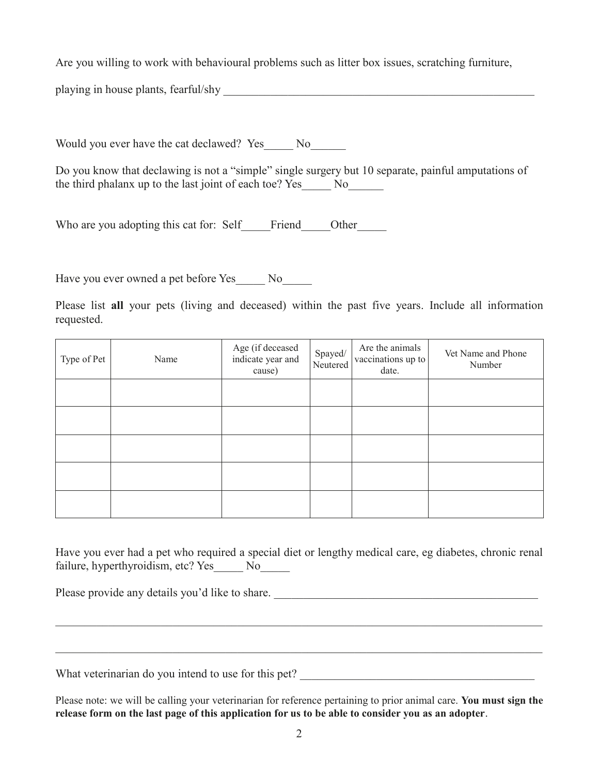Are you willing to work with behavioural problems such as litter box issues, scratching furniture,

playing in house plants, fearful/shy \_\_\_\_\_\_\_\_\_\_\_\_\_\_\_\_\_\_\_\_\_\_\_\_\_\_\_\_\_\_\_\_\_\_\_\_\_\_\_\_\_\_\_\_\_\_\_\_\_\_\_\_\_

Would you ever have the cat declawed? Yes No

Do you know that declawing is not a "simple" single surgery but 10 separate, painful amputations of the third phalanx up to the last joint of each toe? Yes No

Who are you adopting this cat for: Self Friend Other

Have you ever owned a pet before Yes\_\_\_\_\_ No\_\_\_\_\_

Please list **all** your pets (living and deceased) within the past five years. Include all information requested.

| Type of Pet | Name | Age (if deceased<br>indicate year and<br>cause) | Spayed/<br>Neutered | Are the animals<br>vaccinations up to<br>date. | Vet Name and Phone<br>Number |
|-------------|------|-------------------------------------------------|---------------------|------------------------------------------------|------------------------------|
|             |      |                                                 |                     |                                                |                              |
|             |      |                                                 |                     |                                                |                              |
|             |      |                                                 |                     |                                                |                              |
|             |      |                                                 |                     |                                                |                              |
|             |      |                                                 |                     |                                                |                              |

Have you ever had a pet who required a special diet or lengthy medical care, eg diabetes, chronic renal failure, hyperthyroidism, etc? Yes No

\_\_\_\_\_\_\_\_\_\_\_\_\_\_\_\_\_\_\_\_\_\_\_\_\_\_\_\_\_\_\_\_\_\_\_\_\_\_\_\_\_\_\_\_\_\_\_\_\_\_\_\_\_\_\_\_\_\_\_\_\_\_\_\_\_\_\_\_\_\_\_\_\_\_\_\_\_\_\_\_\_\_\_

\_\_\_\_\_\_\_\_\_\_\_\_\_\_\_\_\_\_\_\_\_\_\_\_\_\_\_\_\_\_\_\_\_\_\_\_\_\_\_\_\_\_\_\_\_\_\_\_\_\_\_\_\_\_\_\_\_\_\_\_\_\_\_\_\_\_\_\_\_\_\_\_\_\_\_\_\_\_\_\_\_\_\_

Please provide any details you'd like to share.

What veterinarian do you intend to use for this pet? \_\_\_\_\_\_\_\_\_\_\_\_\_\_\_\_\_\_\_\_\_\_\_\_\_\_\_\_\_\_\_\_\_\_\_\_\_\_\_\_

Please note: we will be calling your veterinarian for reference pertaining to prior animal care. **You must sign the release form on the last page of this application for us to be able to consider you as an adopter**.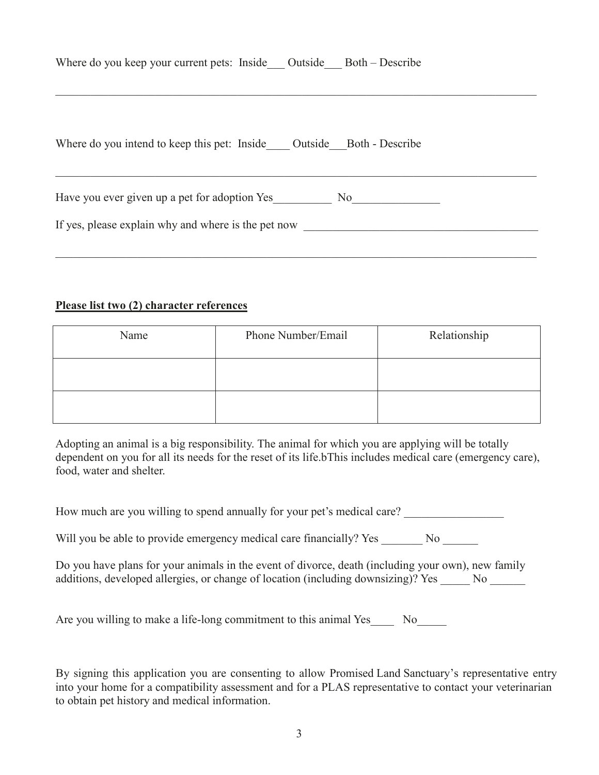|  | Where do you keep your current pets: Inside |  | Outside Both – Describe |
|--|---------------------------------------------|--|-------------------------|
|  |                                             |  |                         |

| Where do you intend to keep this pet: Inside Outside Both - Describe |
|----------------------------------------------------------------------|
| Have you ever given up a pet for adoption Yes<br>No                  |
| If yes, please explain why and where is the pet now                  |

\_\_\_\_\_\_\_\_\_\_\_\_\_\_\_\_\_\_\_\_\_\_\_\_\_\_\_\_\_\_\_\_\_\_\_\_\_\_\_\_\_\_\_\_\_\_\_\_\_\_\_\_\_\_\_\_\_\_\_\_\_\_\_\_\_\_\_\_\_\_\_\_\_\_\_\_\_\_\_\_\_\_

\_\_\_\_\_\_\_\_\_\_\_\_\_\_\_\_\_\_\_\_\_\_\_\_\_\_\_\_\_\_\_\_\_\_\_\_\_\_\_\_\_\_\_\_\_\_\_\_\_\_\_\_\_\_\_\_\_\_\_\_\_\_\_\_\_\_\_\_\_\_\_\_\_\_\_\_\_\_\_\_\_\_

## **Please list two (2) character references**

| Name | Phone Number/Email | Relationship |
|------|--------------------|--------------|
|      |                    |              |
|      |                    |              |

Adopting an animal is a big responsibility. The animal for which you are applying will be totally dependent on you for all its needs for the reset of its life.bThis includes medical care (emergency care), food, water and shelter.

| How much are you willing to spend annually for your pet's medical care? |  |  |  |
|-------------------------------------------------------------------------|--|--|--|
|                                                                         |  |  |  |

Will you be able to provide emergency medical care financially? Yes No No

| Do you have plans for your animals in the event of divorce, death (including your own), new family |     |  |
|----------------------------------------------------------------------------------------------------|-----|--|
| additions, developed allergies, or change of location (including downsizing)? Yes                  | No. |  |

Are you willing to make a life-long commitment to this animal Yes No

By signing this application you are consenting to allow Promised Land Sanctuary's representative entry into your home for a compatibility assessment and for a PLAS representative to contact your veterinarian to obtain pet history and medical information.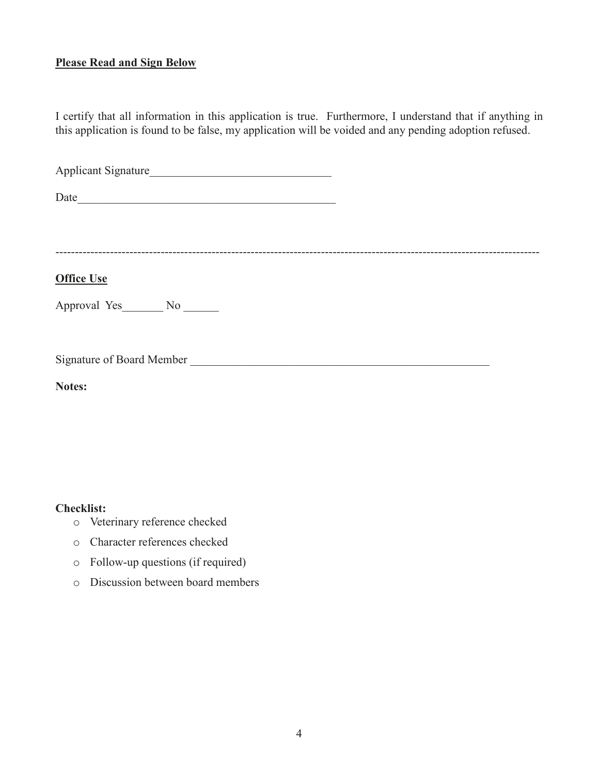### **Please Read and Sign Below**

I certify that all information in this application is true. Furthermore, I understand that if anything in this application is found to be false, my application will be voided and any pending adoption refused.

Applicant Signature\_\_\_\_\_\_\_\_\_\_\_\_\_\_\_\_\_\_\_\_\_\_\_\_\_\_\_\_\_\_\_

 $Date$   $Date$   $\qquad \qquad$ 

----------------------------------------------------------------------------------------------------------------------------

# **Office Use**

Approval Yes\_\_\_\_\_\_\_ No \_\_\_\_\_\_

Signature of Board Member

**Notes:** 

#### **Checklist:**

- o Veterinary reference checked
- o Character references checked
- o Follow-up questions (if required)
- o Discussion between board members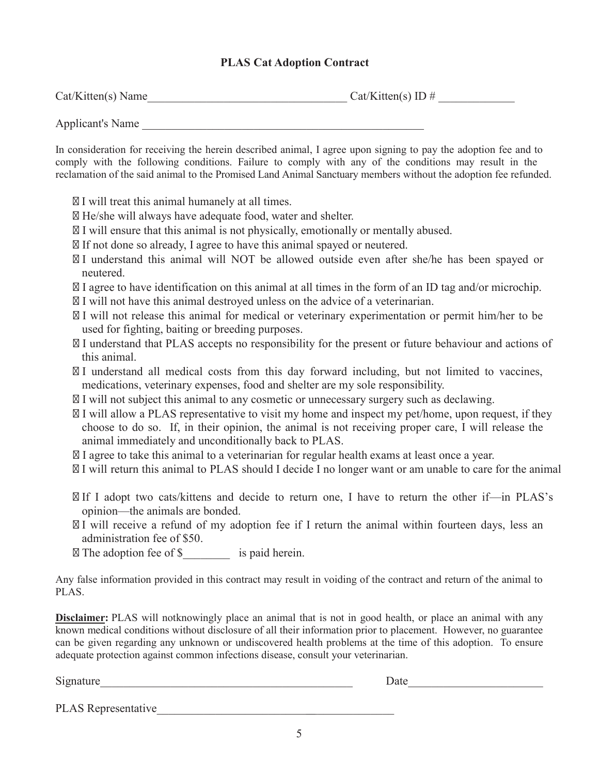### **PLAS Cat Adoption Contract**

| Cat/Kitten(s) Name | $Cat/Kitten(s)$ ID # |  |
|--------------------|----------------------|--|
|                    |                      |  |

Applicant's Name

In consideration for receiving the herein described animal, I agree upon signing to pay the adoption fee and to comply with the following conditions. Failure to comply with any of the conditions may result in the reclamation of the said animal to the Promised Land Animal Sanctuary members without the adoption fee refunded.

I will treat this animal humanely at all times.

He/she will always have adequate food, water and shelter.

I will ensure that this animal is not physically, emotionally or mentally abused.

If not done so already, I agree to have this animal spayed or neutered.

I understand this animal will NOT be allowed outside even after she/he has been spayed or neutered.

I agree to have identification on this animal at all times in the form of an ID tag and/or microchip. I will not have this animal destroyed unless on the advice of a veterinarian.

I will not release this animal for medical or veterinary experimentation or permit him/her to be used for fighting, baiting or breeding purposes.

I understand that PLAS accepts no responsibility for the present or future behaviour and actions of this animal.

I understand all medical costs from this day forward including, but not limited to vaccines, medications, veterinary expenses, food and shelter are my sole responsibility.

I will not subject this animal to any cosmetic or unnecessary surgery such as declawing.

I will allow a PLAS representative to visit my home and inspect my pet/home, upon request, if they choose to do so. If, in their opinion, the animal is not receiving proper care, I will release the animal immediately and unconditionally back to PLAS.

I agree to take this animal to a veterinarian for regular health exams at least once a year.

I will return this animal to PLAS should I decide I no longer want or am unable to care for the animal

If I adopt two cats/kittens and decide to return one, I have to return the other if—in PLAS's opinion—the animals are bonded.

I will receive a refund of my adoption fee if I return the animal within fourteen days, less an administration fee of \$50.

The adoption fee of \$ is paid herein.

Any false information provided in this contract may result in voiding of the contract and return of the animal to PLAS.

**Disclaimer:** PLAS will notknowingly place an animal that is not in good health, or place an animal with any known medical conditions without disclosure of all their information prior to placement. However, no guarantee can be given regarding any unknown or undiscovered health problems at the time of this adoption. To ensure adequate protection against common infections disease, consult your veterinarian.

Signature Date

PLAS Representative